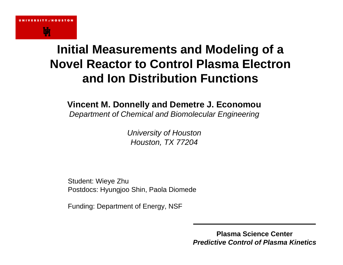## **Initial Measurements and Modeling of a Novel Reactor to Control Plasma Electron and Ion Distribution Functions**

### **Vincent M. Donnelly and Demetre J. Economou**

*Department of Chemical and Biomolecular Engineering*

*University of Houston Houston, TX 77204*

Student: Wieye Zhu Postdocs: Hyungjoo Shin, Paola Diomede

Funding: Department of Energy, NSF

**Plasma Science Center***Predictive Control of Plasma Kinetics*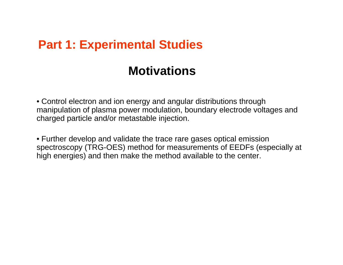### **Part 1: Experimental Studies**

## **Motivations**

• Control electron and ion energy and angular distributions through manipulation of plasma power modulation, boundary electrode voltages and charged particle and/or metastable injection.

• Further develop and validate the trace rare gases optical emission spectroscopy (TRG-OES) method for measurements of EEDFs (especially at high energies) and then make the method available to the center.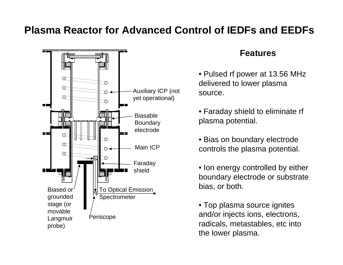### **Plasma Reactor for Advanced Control of IEDFs and EEDFs**



#### **Features**

- Pulsed rf power at 13.56 MHz delivered to lower plasma source.
- Faraday shield to eliminate rf plasma potential.
- Bias on boundary electrode controls the plasma potential.
- Ion energy controlled by either boundary electrode or substrate bias, or both.
- Top plasma source ignites and/or injects ions, electrons, radicals, metastables, etc into the lower plasma.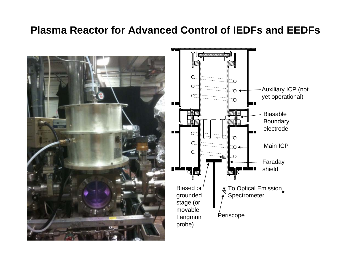### **Plasma Reactor for Advanced Control of IEDFs and EEDFs**



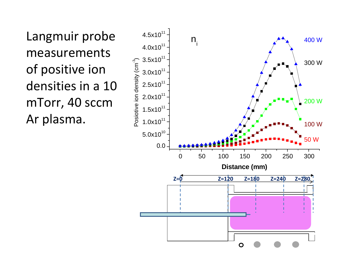Langmuir probe measurements of positive ion densities in a 10 mTorr, 40 sccm Ar plasma.

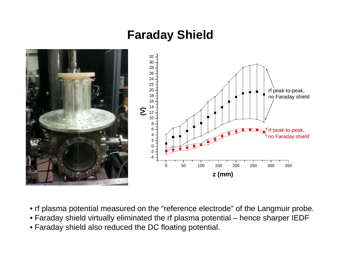## **Faraday Shield**



- rf plasma potential measured on the "reference electrode" of the Langmuir probe.
- Faraday shield virtually eliminated the rf plasma potential hence sharper IEDF
- Faraday shield also reduced the DC floating potential.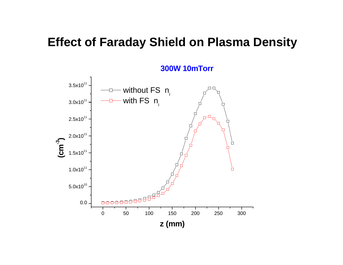## **Effect of Faraday Shield on Plasma Density**



**300W 10mTorr**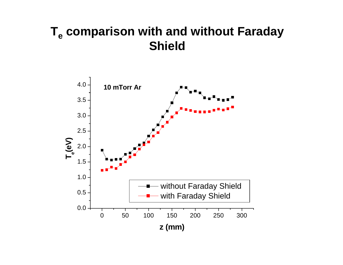## **Te comparison with and without Faraday Shield**

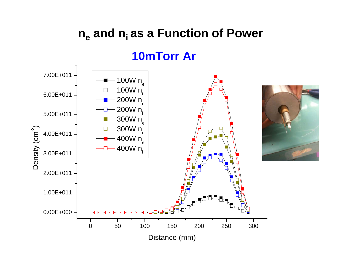## **n e and ni as a Function of Power**

### **10mTorr Ar**

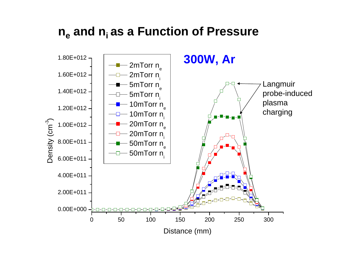## **n e and ni as a Function of Pressure**

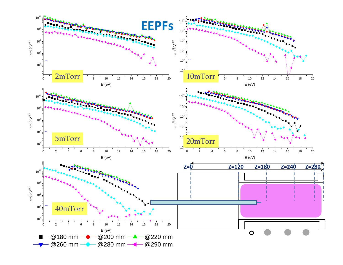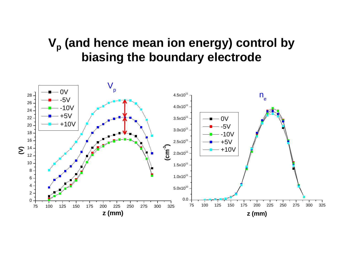## **Vp (and hence mean ion energy) control by biasing the boundary electrode**

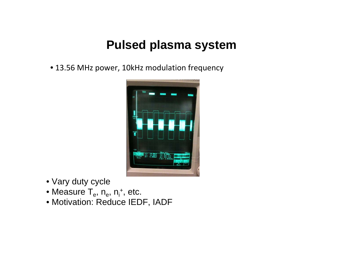## **Pulsed plasma system**

• 13.56 MHz power, 10kHz modulation frequency



- Vary duty cycle
- $\bullet$  Measure T<sub>e</sub>, n<sub>e</sub>, n<sub>i</sub>+, etc.
- Motivation: Reduce IEDF, IADF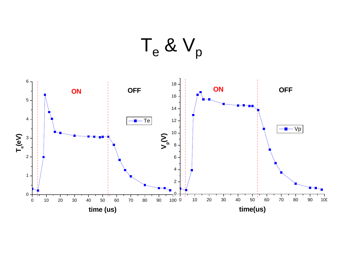${\sf T_e}$  &  ${\sf V_p}$ 

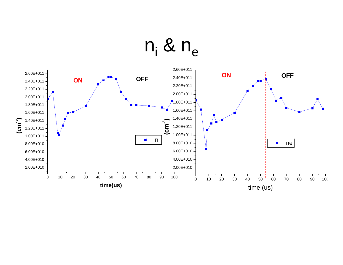# $\mathsf{n}_{\mathsf{i}}$  &  $\mathsf{n}_{\mathsf{e}}$

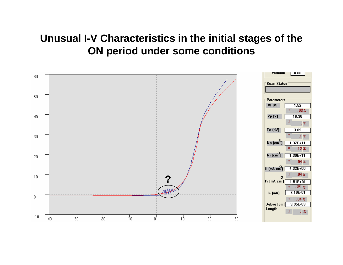### **Unusual I-V Characteristics in the initial stages of the ON period under some conditions**

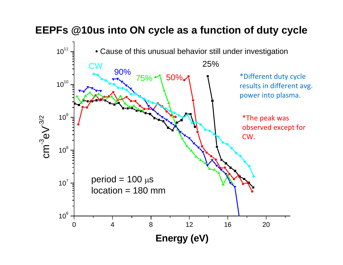### **EEPFs @10us into ON cycle as a function of duty cycle**

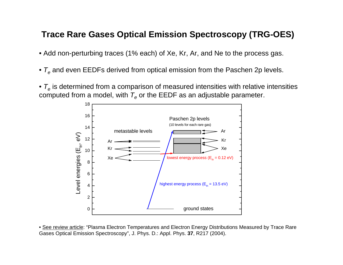#### **Trace Rare Gases Optical Emission Spectroscopy (TRG-OES)**

- Add non-perturbing traces (1% each) of Xe, Kr, Ar, and Ne to the process gas.
- $\bullet$   ${\cal T}_e$  and even EEDFs derived from optical emission from the Paschen 2p levels.
- $\bullet$   ${\cal T}_e$  is determined from a comparison of measured intensities with relative intensities computed from a model, with  $\mathcal{T}_{\mathbf{e}}$  or the EEDF as an adjustable parameter.



• See review article: "Plasma Electron Temperatures and Electron Energy Distributions Measured by Trace Rare Gases Optical Emission Spectroscopy", J. Phys. D.: Appl. Phys. **37**, R217 (2004).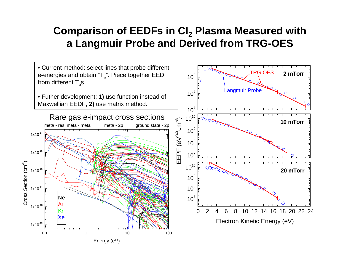### **Comparison of EEDFs in Cl 2 Plasma Measured with a Langmuir Probe and Derived from TRG-OES**

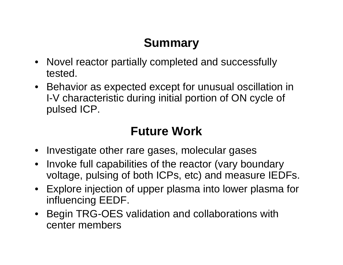## **Summary**

- Novel reactor partially completed and successfully tested.
- Behavior as expected except for unusual oscillation in I-V characteristic during initial portion of ON cycle of pulsed ICP.

## **Future Work**

- Investigate other rare gases, molecular gases
- Invoke full capabilities of the reactor (vary boundary voltage, pulsing of both ICPs, etc) and measure IEDFs.
- Explore injection of upper plasma into lower plasma for influencing EEDF.
- Begin TRG-OES validation and collaborations with center members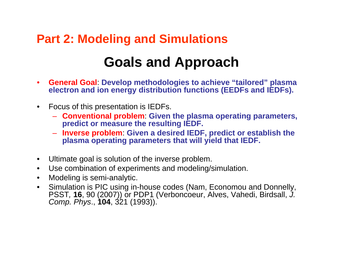## **Part 2: Modeling and Simulations**

## **Goals and Approach**

- $\bullet$  **General Goal**: **Develop methodologies to achieve "tailored" plasma electron and ion energy distribution functions (EEDFs and IEDFs).**
- • Focus of this presentation is IEDFs.
	- **Conventional problem**: **Given the plasma operating parameters, predict or measure the resulting IEDF.**
	- **Inverse problem**: **Given a desired IEDF, predict or establish the plasma operating parameters that will yield that IEDF.**
- $\bullet$ Ultimate goal is solution of the inverse problem.
- $\bullet$ Use combination of experiments and modeling/simulation.
- $\bullet$ Modeling is semi-analytic.
- $\bullet$  Simulation is PIC using in-house codes (Nam, Economou and Donnelly, PSST, 16, 90 (2007)) or PDP1 (Verboncoeur, Alves, Vahedi, Birdsall, J. *Comp. Phys*., **104**, 321 (1993)).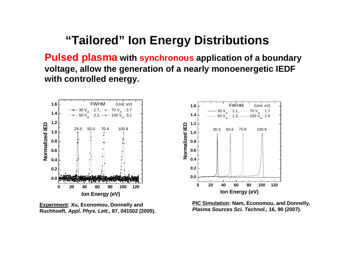## **"Tailored" Ion Energy Distributions**

**Pulsed plasma with synchronous application of a boundary voltage, allow the generation of a nearly monoenergetic IEDF with controlled energy.**



**Experiment: Xu, Economou, Donnelly and Ruchhoeft,** *Appl. Phys. Lett***., 87, 041502 (2005).**

**PIC Simulation: Nam, Economou, and Donnelly,**  *Plasma Sources Sci. Technol.,* **16, 90 (2007).**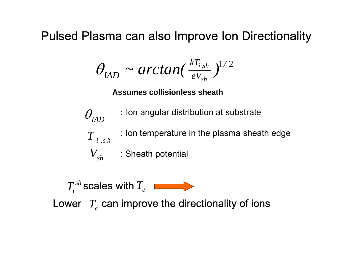## Pulsed Plasma can also Improve Ion Directionality

$$
\theta_{IAD} \sim \arctan(\frac{kT_{i,sh}}{eV_{sh}})^{1/2}
$$

**Assumes collisionless sheath**



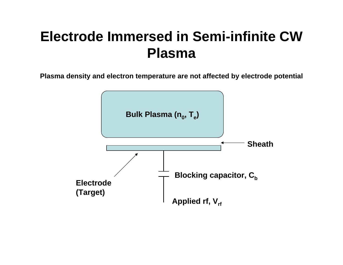## **Electrode Immersed in Semi-infinite CW Plasma**

**Plasma density and electron temperature are not affected by electrode potential**

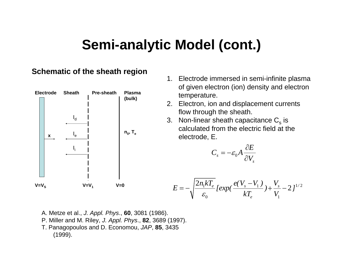## **Semi-analytic Model (cont.)**

#### **Schematic of the sheath region**



- 1. Electrode immersed in semi-infinite plasma of given electron (ion) density and electron temperature.
- 2. Electron, ion and displacement currents flow through the sheath.
- 3.  $\,$  Non-linear sheath capacitance  ${\rm C}_{\rm s}$  is calculated from the electric field at the electrode, E.

$$
C_{s} = -\varepsilon_{0} A \frac{\partial E}{\partial V_{s}}
$$

$$
E = -\sqrt{\frac{2n_1kT_e}{\varepsilon_0}} \left[ exp(\frac{e(V_s - V_1)}{kT_e}) + \frac{V_s}{V_1} - 2 \right]^{1/2}
$$

- A. Metze et al., *J. Appl. Phys*., **60**, 3081 (1986).
- P. Miller and M. Riley, *J. Appl. Phys*., **82**, 3689 (1997).
- T. Panagopoulos and D. Economou, *JAP*, **85**, 3435 (1999).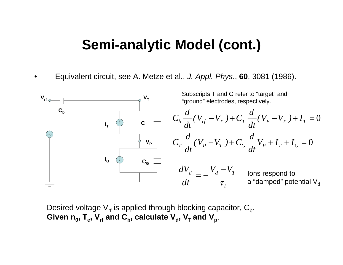## **Semi-analytic Model (cont.)**

•Equivalent circuit, see A. Metze et al., *J. Appl. Phys*., **60**, 3081 (1986).



Desired voltage  $\mathsf{V}_{\mathsf{rf}}$  is applied through blocking capacitor,  $\mathsf{C}_{\mathsf{b}}.$ Given  $\mathsf{n_0}, \, \mathsf{T_e}, \, \mathsf{V_{\mathsf{rf}}}$  and  $\mathsf{C}_{\mathsf{b}},$  calculate  $\mathsf{V_{\mathsf{d}}}, \, \mathsf{V_{\mathsf{T}}}$  and  $\mathsf{V_{\mathsf{p}}}.$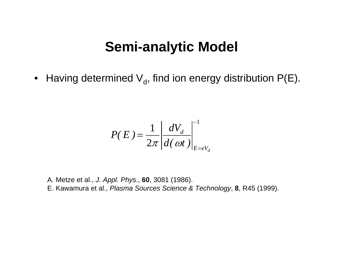## **Semi-analytic Model**

 $\bullet~$  Having determined  $\mathsf{V}_{\mathsf{d}}$ , find ion energy distribution P(E).

$$
P(E) = \frac{1}{2\pi} \left| \frac{dV_d}{d(\omega t)} \right|_{E=eV_d}^{-1}
$$

A. Metze et al., *J. Appl. Phys*., **60**, 3081 (1986). E. Kawamura et al., *Plasma Sources Science & Technology*, **8**, R45 (1999).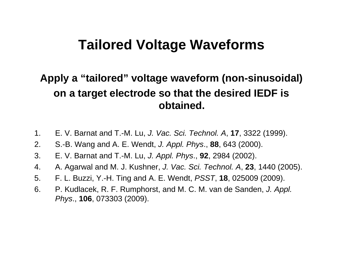## **Tailored Voltage Waveforms**

### **Apply a "tailored" voltage waveform (non-sinusoidal) on a target electrode so that the desired IEDF is obtained.**

- 1. E. V. Barnat and T.-M. Lu, *J. Vac. Sci. Technol. A*, **17**, 3322 (1999).
- 2. S.-B. Wang and A. E. Wendt, *J. Appl. Phys*., **88**, 643 (2000).
- 3. E. V. Barnat and T.-M. Lu, *J. Appl. Phys*., **92**, 2984 (2002).
- 4. A. Agarwal and M. J. Kushner, *J. Vac. Sci. Technol. A*, **23**, 1440 (2005).
- 5. F. L. Buzzi, Y.-H. Ting and A. E. Wendt, *PSST*, **18**, 025009 (2009).
- 6. P. Kudlacek, R. F. Rumphorst, and M. C. M. van de Sanden, *J. Appl. Phys*., **106**, 073303 (2009).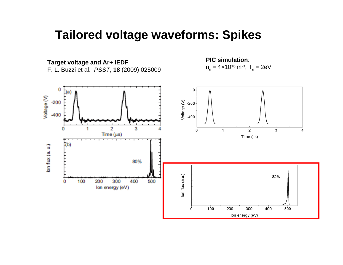## **Tailored voltage waveforms: Spikes**

**Target voltage and Ar+ IEDF** F. L. Buzzi et al. *PSST*, **18** (2009) 025009

**PIC simulation**:  $n_e = 4 \times 10^{16} \text{ m}^{-3}$ ,  $T_e = 2 \text{eV}$ 

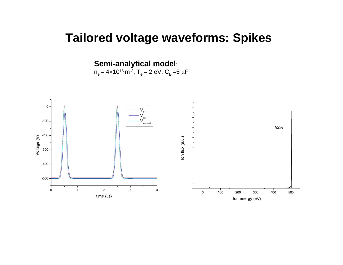## **Tailored voltage waveforms: Spikes**

**Semi-analytical model**:

 $n_e = 4 \times 10^{16} \text{ m}^3$ , T<sub>e</sub> = 2 eV, C<sub>B</sub> = 5  $\mu$ F

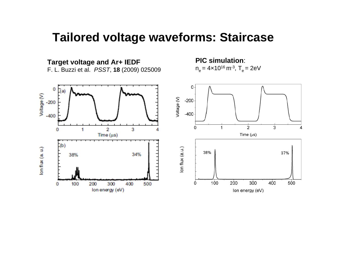### **Tailored voltage waveforms: Staircase**

**Target voltage and Ar+ IEDF** F. L. Buzzi et al. *PSST*, **18** (2009) 025009

**PIC simulation**: n<sub>e</sub> = 4×10<sup>16</sup> m<sup>-3</sup>, T<sub>e</sub> = 2eV

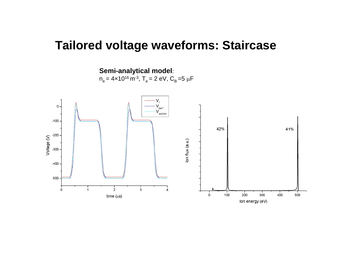### **Tailored voltage waveforms: Staircase**

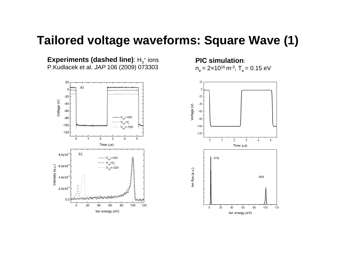### **Tailored voltage waveforms: Square Wave (1)**

**Experiments (dashed line)**: H<sub>3</sub>+ ions P.Kudlacek et al. *JAP* 106 (2009) 073303



**PIC simulation**: n<sub>e</sub> = 2×10<sup>16</sup> m<sup>-3</sup>, T<sub>e</sub> = 0.15 eV

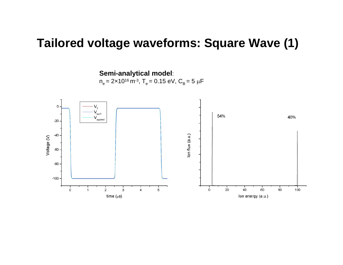### **Tailored voltage waveforms: Square Wave (1)**

**Semi-analytical model**:

 $n_e = 2 \times 10^{16} \text{ m}^3$ , T<sub>e</sub> = 0.15 eV, C<sub>B</sub> = 5  $\mu$ F

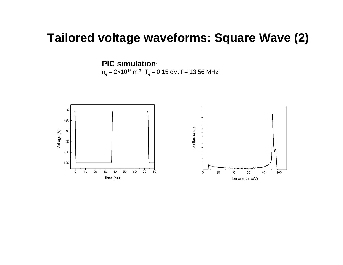### **Tailored voltage waveforms: Square Wave (2)**

**PIC simulation**:

n<sub>e</sub> = 2×10<sup>16</sup> m<sup>.3</sup>, T<sub>e</sub> = 0.15 eV, f = 13.56 MHz

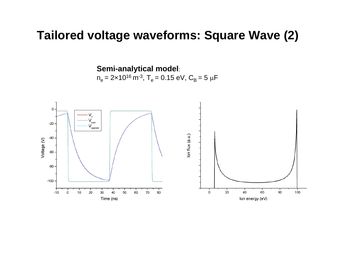### **Tailored voltage waveforms: Square Wave (2)**

**Semi-analytical model**:  $n_e = 2 \times 10^{16} \text{ m}^{-3}$ ,  $T_e = 0.15 \text{ eV}$ ,  $C_B = 5 \mu \text{F}$